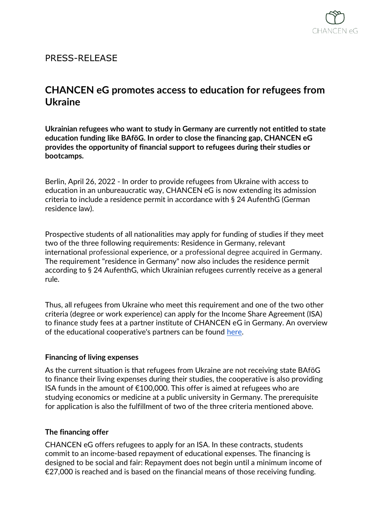

## PRESS-RELEASE

# **CHANCEN eG promotes access to education for refugees from Ukraine**

**Ukrainian refugees who want to study in Germany are currently not entitled to state education funding like BAföG. In order to close the financing gap, CHANCEN eG provides the opportunity of financial support to refugees during their studies or bootcamps.**

Berlin, April 26, 2022 - In order to provide refugees from Ukraine with access to education in an unbureaucratic way, CHANCEN eG is now extending its admission criteria to include a residence permit in accordance with § 24 AufenthG (German residence law).

Prospective students of all nationalities may apply for funding of studies if they meet two of the three following requirements: Residence in Germany, relevant international professional experience, or a professional degree acquired in Germany. The requirement "residence in Germany" now also includes the residence permit according to § 24 AufenthG, which Ukrainian refugees currently receive as a general rule.

Thus, all refugees from Ukraine who meet this requirement and one of the two other criteria (degree or work experience) can apply for the Income Share Agreement (ISA) to finance study fees at a partner institute of CHANCEN eG in Germany. An overview of the educational cooperative's partners can be found [here.](https://chancen-eg.de/en/our-partner-institutions)

## **Financing of living expenses**

As the current situation is that refugees from Ukraine are not receiving state BAföG to finance their living expenses during their studies, the cooperative is also providing ISA funds in the amount of  $\epsilon$ 100,000. This offer is aimed at refugees who are studying economics or medicine at a public university in Germany. The prerequisite for application is also the fulfillment of two of the three criteria mentioned above.

## **The financing offer**

CHANCEN eG offers refugees to apply for an ISA. In these contracts, students commit to an income-based repayment of educational expenses. The financing is designed to be social and fair: Repayment does not begin until a minimum income of €27,000 is reached and is based on the financial means of those receiving funding.